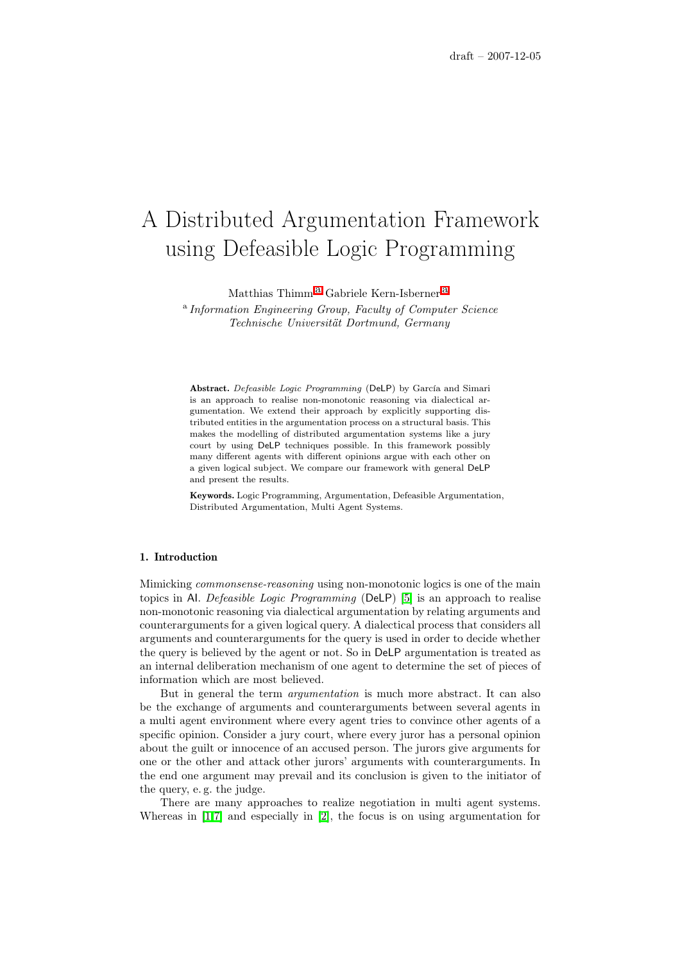# A Distributed Argumentation Framework using Defeasible Logic Programming

<span id="page-0-0"></span>M[a](#page-0-0)tthias Thimm<sup>a</sup> Gabriele Kern-Isberner<sup>a</sup>

<sup>a</sup> Information Engineering Group, Faculty of Computer Science Technische Universität Dortmund, Germany

Abstract. Defeasible Logic Programming (DeLP) by García and Simari is an approach to realise non-monotonic reasoning via dialectical argumentation. We extend their approach by explicitly supporting distributed entities in the argumentation process on a structural basis. This makes the modelling of distributed argumentation systems like a jury court by using DeLP techniques possible. In this framework possibly many different agents with different opinions argue with each other on a given logical subject. We compare our framework with general DeLP and present the results.

Keywords. Logic Programming, Argumentation, Defeasible Argumentation, Distributed Argumentation, Multi Agent Systems.

#### 1. Introduction

Mimicking commonsense-reasoning using non-monotonic logics is one of the main topics in AI. Defeasible Logic Programming (DeLP) [\[5\]](#page-11-0) is an approach to realise non-monotonic reasoning via dialectical argumentation by relating arguments and counterarguments for a given logical query. A dialectical process that considers all arguments and counterarguments for the query is used in order to decide whether the query is believed by the agent or not. So in DeLP argumentation is treated as an internal deliberation mechanism of one agent to determine the set of pieces of information which are most believed.

But in general the term argumentation is much more abstract. It can also be the exchange of arguments and counterarguments between several agents in a multi agent environment where every agent tries to convince other agents of a specific opinion. Consider a jury court, where every juror has a personal opinion about the guilt or innocence of an accused person. The jurors give arguments for one or the other and attack other jurors' arguments with counterarguments. In the end one argument may prevail and its conclusion is given to the initiator of the query, e. g. the judge.

There are many approaches to realize negotiation in multi agent systems. Whereas in [\[1](#page-11-1)[,7\]](#page-11-2) and especially in [\[2\]](#page-11-3), the focus is on using argumentation for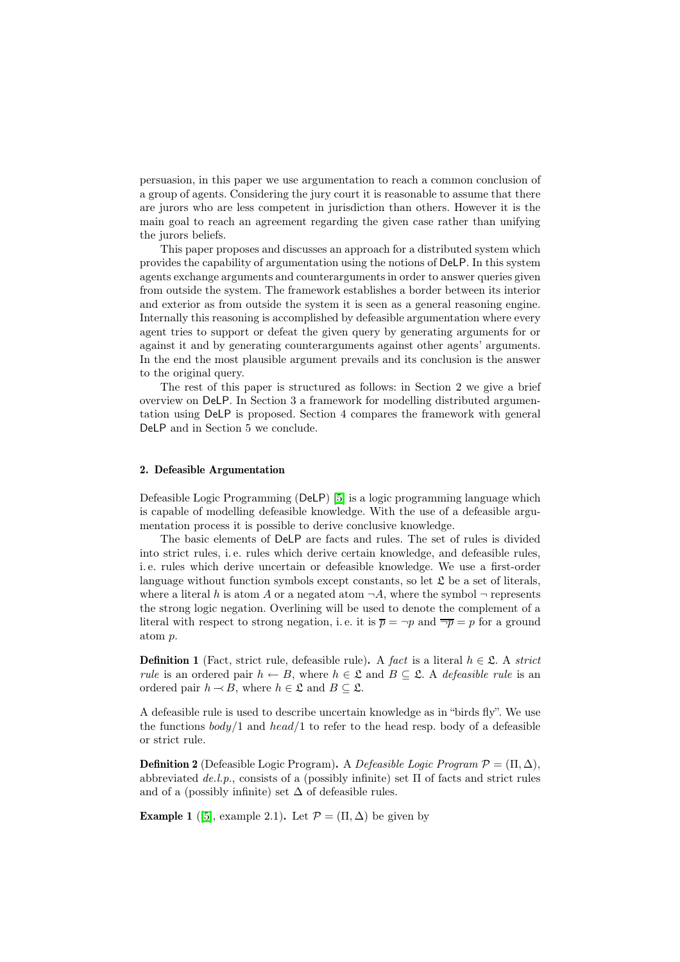persuasion, in this paper we use argumentation to reach a common conclusion of a group of agents. Considering the jury court it is reasonable to assume that there are jurors who are less competent in jurisdiction than others. However it is the main goal to reach an agreement regarding the given case rather than unifying the jurors beliefs.

This paper proposes and discusses an approach for a distributed system which provides the capability of argumentation using the notions of DeLP. In this system agents exchange arguments and counterarguments in order to answer queries given from outside the system. The framework establishes a border between its interior and exterior as from outside the system it is seen as a general reasoning engine. Internally this reasoning is accomplished by defeasible argumentation where every agent tries to support or defeat the given query by generating arguments for or against it and by generating counterarguments against other agents' arguments. In the end the most plausible argument prevails and its conclusion is the answer to the original query.

The rest of this paper is structured as follows: in Section 2 we give a brief overview on DeLP. In Section 3 a framework for modelling distributed argumentation using DeLP is proposed. Section 4 compares the framework with general DeLP and in Section 5 we conclude.

#### <span id="page-1-1"></span>2. Defeasible Argumentation

Defeasible Logic Programming (DeLP) [\[5\]](#page-11-0) is a logic programming language which is capable of modelling defeasible knowledge. With the use of a defeasible argumentation process it is possible to derive conclusive knowledge.

The basic elements of DeLP are facts and rules. The set of rules is divided into strict rules, i. e. rules which derive certain knowledge, and defeasible rules, i. e. rules which derive uncertain or defeasible knowledge. We use a first-order language without function symbols except constants, so let  $\mathfrak L$  be a set of literals, where a literal h is atom A or a negated atom  $\neg A$ , where the symbol  $\neg$  represents the strong logic negation. Overlining will be used to denote the complement of a literal with respect to strong negation, i.e. it is  $\overline{p} = \neg p$  and  $\overline{\neg p} = p$  for a ground atom p.

**Definition 1** (Fact, strict rule, defeasible rule). A fact is a literal  $h \in \mathcal{L}$ . A strict rule is an ordered pair  $h \leftarrow B$ , where  $h \in \mathfrak{L}$  and  $B \subseteq \mathfrak{L}$ . A defeasible rule is an ordered pair  $h \sim B$ , where  $h \in \mathfrak{L}$  and  $B \subseteq \mathfrak{L}$ .

A defeasible rule is used to describe uncertain knowledge as in "birds fly". We use the functions  $body/1$  and  $head/1$  to refer to the head resp. body of a defeasible or strict rule.

**Definition 2** (Defeasible Logic Program). A Defeasible Logic Program  $\mathcal{P} = (\Pi, \Delta)$ , abbreviated de.l.p., consists of a (possibly infinite) set  $\Pi$  of facts and strict rules and of a (possibly infinite) set  $\Delta$  of defeasible rules.

<span id="page-1-0"></span>**Example 1** ([\[5\]](#page-11-0), example 2.1). Let  $\mathcal{P} = (\Pi, \Delta)$  be given by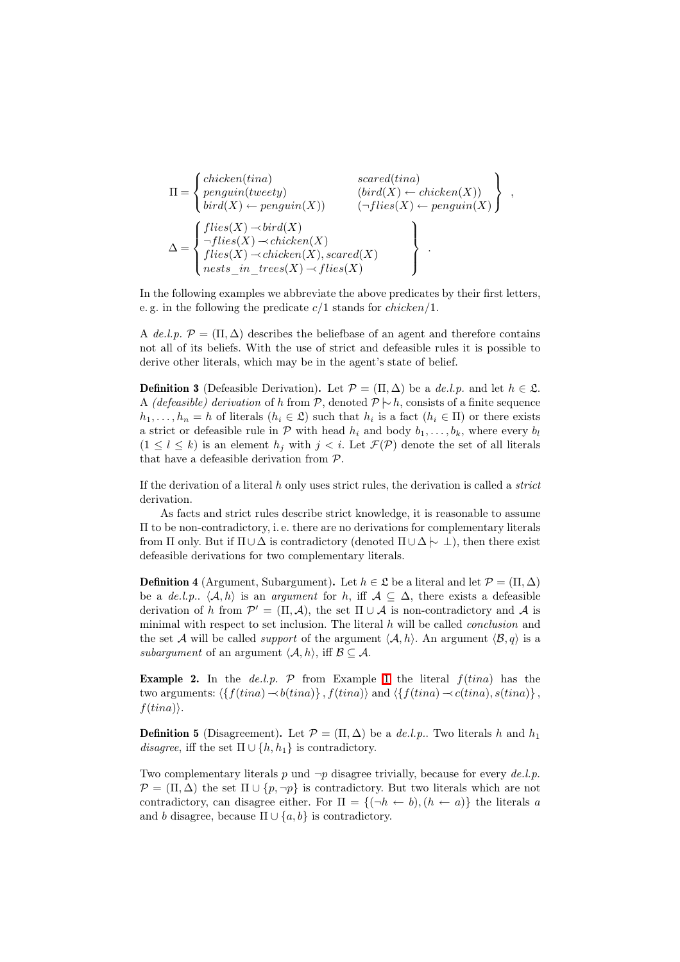Π = chicken(tina) scared(tina) penguin(tweety) (bird(X) ← chicken(X)) bird(X) ← penguin(X)) (¬flies(X) ← penguin(X) , ∆ = flies(X) −bird(X) ¬flies(X) −chicken(X) flies(X) −chicken(X), scared(X) nests\_in\_trees(X) − flies(X) .

In the following examples we abbreviate the above predicates by their first letters, e. g. in the following the predicate  $c/1$  stands for  $chicken/1$ .

A de.l.p.  $\mathcal{P} = (\Pi, \Delta)$  describes the beliefbase of an agent and therefore contains not all of its beliefs. With the use of strict and defeasible rules it is possible to derive other literals, which may be in the agent's state of belief.

**Definition 3** (Defeasible Derivation). Let  $\mathcal{P} = (\Pi, \Delta)$  be a de.l.p. and let  $h \in \mathcal{L}$ . A (defeasible) derivation of h from P, denoted  $\mathcal{P} \setminus h$ , consists of a finite sequence  $h_1, \ldots, h_n = h$  of literals  $(h_i \in \mathfrak{L})$  such that  $h_i$  is a fact  $(h_i \in \Pi)$  or there exists a strict or defeasible rule in  $P$  with head  $h_i$  and body  $b_1, \ldots, b_k$ , where every  $b_l$  $(1 \leq l \leq k)$  is an element  $h_j$  with  $j < i$ . Let  $\mathcal{F}(\mathcal{P})$  denote the set of all literals that have a defeasible derivation from P.

If the derivation of a literal  $h$  only uses strict rules, the derivation is called a *strict* derivation.

As facts and strict rules describe strict knowledge, it is reasonable to assume Π to be non-contradictory, i. e. there are no derivations for complementary literals from Π only. But if  $\Pi \cup \Delta$  is contradictory (denoted  $\Pi \cup \Delta \models \bot$ ), then there exist defeasible derivations for two complementary literals.

**Definition 4** (Argument, Subargument). Let  $h \in \mathcal{L}$  be a literal and let  $\mathcal{P} = (\Pi, \Delta)$ be a de.l.p..  $\langle A, h \rangle$  is an argument for h, iff  $A \subseteq \Delta$ , there exists a defeasible derivation of h from  $\mathcal{P}' = (\Pi, \mathcal{A})$ , the set  $\Pi \cup \mathcal{A}$  is non-contradictory and  $\mathcal{A}$  is minimal with respect to set inclusion. The literal  $h$  will be called *conclusion* and the set A will be called *support* of the argument  $\langle A, h \rangle$ . An argument  $\langle B, q \rangle$  is a subargument of an argument  $\langle A, h \rangle$ , iff  $\mathcal{B} \subseteq \mathcal{A}$ .

**Example 2.** In the de.l.p.  $\mathcal{P}$  from Example [1](#page-1-0) the literal  $f(tina)$  has the two arguments:  $\{\{f(tina) \rightarrow b(tina)\}, f(tina)\}$  and  $\{\{f(tina) \rightarrow c(tina), s(tina)\}\}$  $f(tina)$ .

**Definition 5** (Disagreement). Let  $\mathcal{P} = (\Pi, \Delta)$  be a de.l.p.. Two literals h and  $h_1$ disagree, iff the set  $\Pi \cup \{h, h_1\}$  is contradictory.

Two complementary literals p und  $\neg p$  disagree trivially, because for every de.l.p.  $\mathcal{P} = (\Pi, \Delta)$  the set  $\Pi \cup \{p, \neg p\}$  is contradictory. But two literals which are not contradictory, can disagree either. For  $\Pi = \{(\neg h \leftarrow b), (h \leftarrow a)\}\$ the literals a and b disagree, because  $\Pi \cup \{a, b\}$  is contradictory.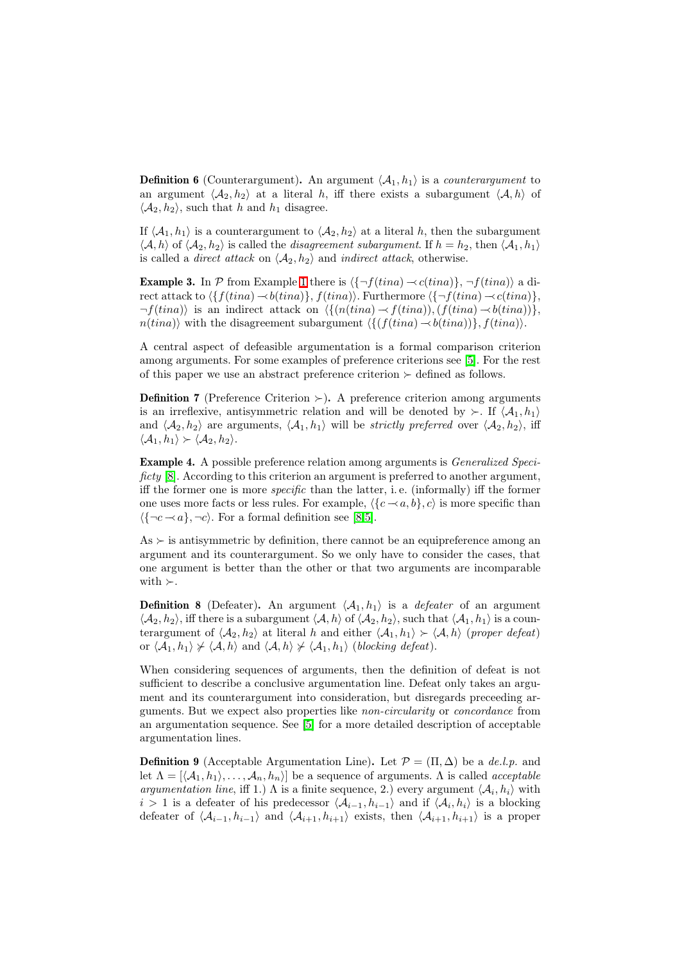**Definition 6** (Counterargument). An argument  $\langle A_1, h_1 \rangle$  is a *counterargument* to an argument  $\langle A_2, h_2 \rangle$  at a literal h, iff there exists a subargument  $\langle A, h \rangle$  of  $\langle A_2, h_2 \rangle$ , such that h and  $h_1$  disagree.

If  $\langle A_1, h_1 \rangle$  is a counterargument to  $\langle A_2, h_2 \rangle$  at a literal h, then the subargument  $\langle A, h \rangle$  of  $\langle A_2, h_2 \rangle$  is called the *disagreement subargument*. If  $h = h_2$ , then  $\langle A_1, h_1 \rangle$ is called a *direct attack* on  $\langle A_2, h_2 \rangle$  and *indirect attack*, otherwise.

**Example 3.** In  $P$  from Example [1](#page-1-0) there is  $\langle {\neg f(tina) \neg c(tina)} \rangle$ ,  $\neg f(tina)$  a direct attack to  $\{f(tina) \rightarrow b(tina)\}, f(tina)\}.$  Furthermore  $\{\neg f(tina) \rightarrow c(tina)\},$  $\neg f(tina)$  is an indirect attack on  $\langle \{(n(tina) \rightarrow f(tina)),(f(tina) \rightarrow b(tina))\}\rangle$  $n(tina)$  with the disagreement subargument  $\langle \{ (f(tina) \rightarrow b(tina)) \}, f(tina) \rangle$ .

A central aspect of defeasible argumentation is a formal comparison criterion among arguments. For some examples of preference criterions see [\[5\]](#page-11-0). For the rest of this paper we use an abstract preference criterion  $\succ$  defined as follows.

**Definition 7** (Preference Criterion  $\succ$ ). A preference criterion among arguments is an irreflexive, antisymmetric relation and will be denoted by ≻. If  $\langle A_1, h_1 \rangle$ and  $\langle A_2, h_2 \rangle$  are arguments,  $\langle A_1, h_1 \rangle$  will be *strictly preferred* over  $\langle A_2, h_2 \rangle$ , iff  $\langle \mathcal{A}_1, h_1 \rangle \succ \langle \mathcal{A}_2, h_2 \rangle.$ 

Example 4. A possible preference relation among arguments is Generalized Specificty [\[8\]](#page-11-4). According to this criterion an argument is preferred to another argument, iff the former one is more specific than the latter, i. e. (informally) iff the former one uses more facts or less rules. For example,  $\langle {c \prec a, b} \rangle$ , c) is more specific than  $\langle \{\neg c \rightarrow a\}, \neg c \rangle$ . For a formal definition see [\[8](#page-11-4)[,5\]](#page-11-0).

 $As \succ$  is antisymmetric by definition, there cannot be an equipreference among an argument and its counterargument. So we only have to consider the cases, that one argument is better than the other or that two arguments are incomparable with ≻.

**Definition 8** (Defeater). An argument  $\langle A_1, h_1 \rangle$  is a *defeater* of an argument  $\langle A_2, h_2 \rangle$ , iff there is a subargument  $\langle A, h \rangle$  of  $\langle A_2, h_2 \rangle$ , such that  $\langle A_1, h_1 \rangle$  is a counterargument of  $\langle A_2, h_2 \rangle$  at literal h and either  $\langle A_1, h_1 \rangle \succ \langle A, h \rangle$  (proper defeat) or  $\langle A_1, h_1 \rangle \not\succ \langle A, h \rangle$  and  $\langle A, h \rangle \not\succ \langle A_1, h_1 \rangle$  (blocking defeat).

When considering sequences of arguments, then the definition of defeat is not sufficient to describe a conclusive argumentation line. Defeat only takes an argument and its counterargument into consideration, but disregards preceeding arguments. But we expect also properties like non-circularity or concordance from an argumentation sequence. See [\[5\]](#page-11-0) for a more detailed description of acceptable argumentation lines.

**Definition 9** (Acceptable Argumentation Line). Let  $\mathcal{P} = (\Pi, \Delta)$  be a de.l.p. and let  $\Lambda = [\langle A_1, h_1 \rangle, \ldots, A_n, h_n]$  be a sequence of arguments.  $\Lambda$  is called *acceptable* argumentation line, iff 1.)  $\Lambda$  is a finite sequence, 2.) every argument  $\langle A_i, h_i \rangle$  with  $i > 1$  is a defeater of his predecessor  $\langle A_{i-1}, h_{i-1} \rangle$  and if  $\langle A_i, h_i \rangle$  is a blocking defeater of  $\langle A_{i-1}, h_{i-1} \rangle$  and  $\langle A_{i+1}, h_{i+1} \rangle$  exists, then  $\langle A_{i+1}, h_{i+1} \rangle$  is a proper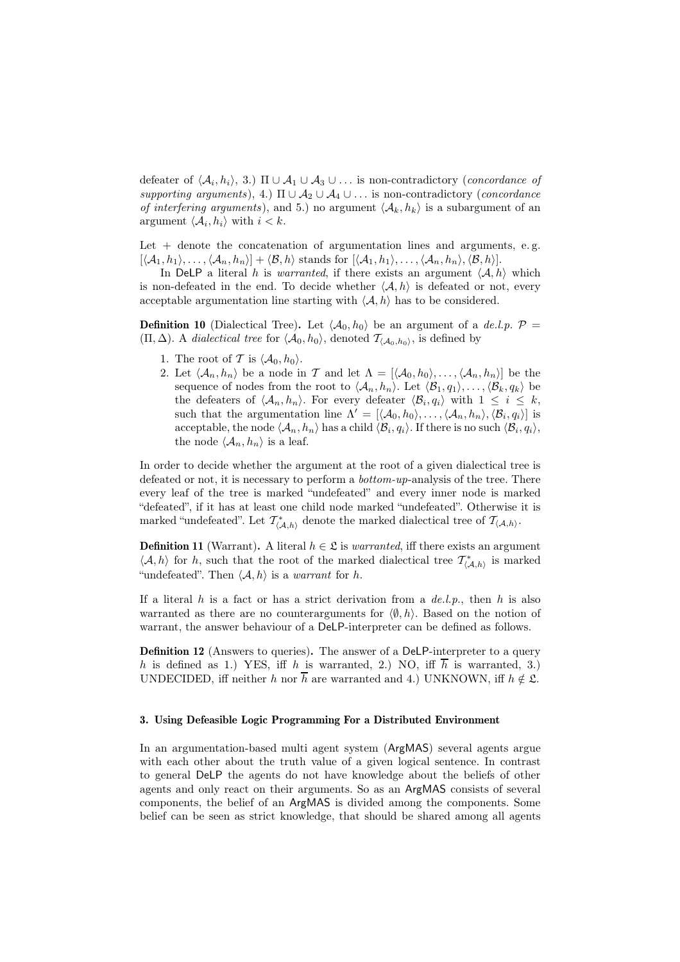defeater of  $\langle A_i, h_i \rangle$ , 3.)  $\Pi \cup A_1 \cup A_3 \cup \ldots$  is non-contradictory (*concordance of* supporting arguments), 4.)  $\Pi \cup A_2 \cup A_4 \cup \ldots$  is non-contradictory (*concordance* of interfering arguments), and 5.) no argument  $\langle A_k, h_k \rangle$  is a subargument of an argument  $\langle A_i, h_i \rangle$  with  $i < k$ .

Let  $+$  denote the concatenation of argumentation lines and arguments, e.g.  $[\langle A_1, h_1 \rangle, \ldots, \langle A_n, h_n \rangle] + \langle B, h \rangle$  stands for  $[\langle A_1, h_1 \rangle, \ldots, \langle A_n, h_n \rangle, \langle B, h \rangle]$ .

In DeLP a literal h is *warranted*, if there exists an argument  $\langle A, h \rangle$  which is non-defeated in the end. To decide whether  $\langle A, h \rangle$  is defeated or not, every acceptable argumentation line starting with  $\langle A, h \rangle$  has to be considered.

<span id="page-4-0"></span>**Definition 10** (Dialectical Tree). Let  $\langle A_0, h_0 \rangle$  be an argument of a de.l.p. P =  $(\Pi, \Delta)$ . A *dialectical tree* for  $\langle A_0, h_0 \rangle$ , denoted  $\mathcal{T}_{\langle A_0, h_0 \rangle}$ , is defined by

- 1. The root of T is  $\langle A_0, h_0 \rangle$ .
- 2. Let  $\langle A_n, h_n \rangle$  be a node in T and let  $\Lambda = [\langle A_0, h_0 \rangle, \ldots, \langle A_n, h_n \rangle]$  be the sequence of nodes from the root to  $\langle A_n, h_n \rangle$ . Let  $\langle B_1, q_1 \rangle, \ldots, \langle B_k, q_k \rangle$  be the defeaters of  $\langle A_n, h_n \rangle$ . For every defeater  $\langle B_i, q_i \rangle$  with  $1 \leq i \leq k$ , such that the argumentation line  $\Lambda' = [\langle A_0, h_0 \rangle, \ldots, \langle A_n, h_n \rangle, \langle B_i, q_i \rangle]$  is acceptable, the node  $\langle\mathcal{A}_n,h_n\rangle$  has a child  $\langle\mathcal{B}_i,q_i\rangle.$  If there is no such  $\langle\mathcal{B}_i,q_i\rangle,$ the node  $\langle A_n, h_n \rangle$  is a leaf.

In order to decide whether the argument at the root of a given dialectical tree is defeated or not, it is necessary to perform a bottom-up-analysis of the tree. There every leaf of the tree is marked "undefeated" and every inner node is marked "defeated", if it has at least one child node marked "undefeated". Otherwise it is marked "undefeated". Let  $\mathcal{T}^*_{\langle A,h\rangle}$  denote the marked dialectical tree of  $\mathcal{T}_{\langle A,h\rangle}$ .

**Definition 11** (Warrant). A literal  $h \in \mathcal{L}$  is *warranted*, iff there exists an argument  $\langle A, h \rangle$  for h, such that the root of the marked dialectical tree  $\mathcal{T}^*_{\langle A, h \rangle}$  is marked "undefeated". Then  $\langle A, h \rangle$  is a *warrant* for h.

If a literal h is a fact or has a strict derivation from a  $de.l.p.$ , then h is also warranted as there are no counterarguments for  $\langle \emptyset, h \rangle$ . Based on the notion of warrant, the answer behaviour of a DeLP-interpreter can be defined as follows.

<span id="page-4-1"></span>Definition 12 (Answers to queries). The answer of a DeLP-interpreter to a query h is defined as 1.) YES, iff h is warranted, 2.) NO, iff  $\overline{h}$  is warranted, 3.) UNDECIDED, iff neither h nor  $\overline{h}$  are warranted and 4.) UNKNOWN, iff  $h \notin \mathfrak{L}$ .

#### 3. Using Defeasible Logic Programming For a Distributed Environment

In an argumentation-based multi agent system (ArgMAS) several agents argue with each other about the truth value of a given logical sentence. In contrast to general DeLP the agents do not have knowledge about the beliefs of other agents and only react on their arguments. So as an ArgMAS consists of several components, the belief of an ArgMAS is divided among the components. Some belief can be seen as strict knowledge, that should be shared among all agents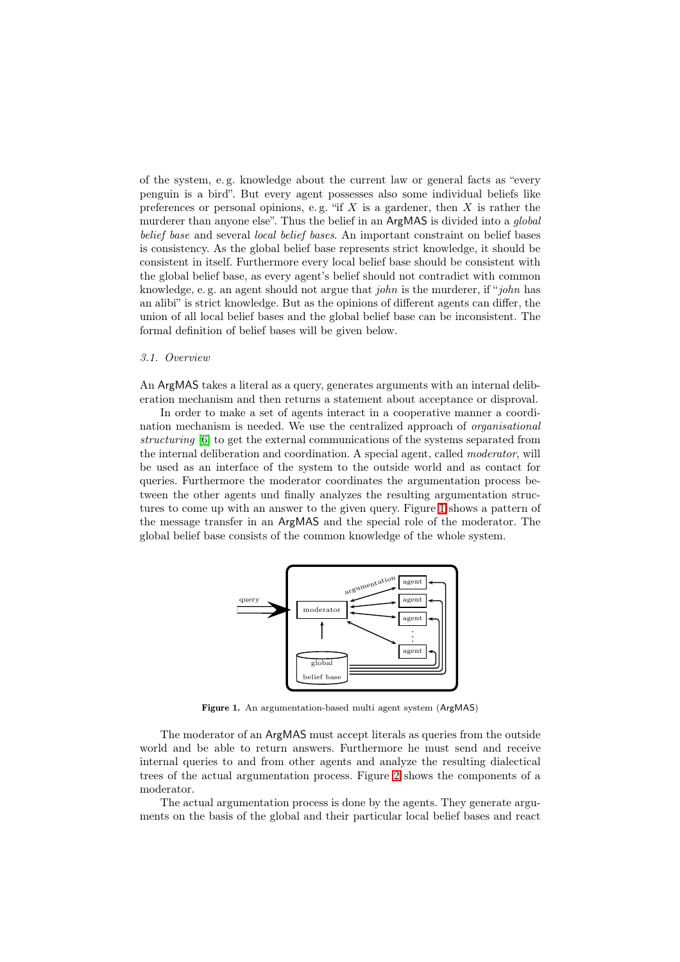of the system, e. g. knowledge about the current law or general facts as "every penguin is a bird". But every agent possesses also some individual beliefs like preferences or personal opinions, e.g. "if  $X$  is a gardener, then  $X$  is rather the murderer than anyone else". Thus the belief in an ArgMAS is divided into a *global* belief base and several local belief bases. An important constraint on belief bases is consistency. As the global belief base represents strict knowledge, it should be consistent in itself. Furthermore every local belief base should be consistent with the global belief base, as every agent's belief should not contradict with common knowledge, e.g. an agent should not argue that *john* is the murderer, if "*john* has an alibi" is strict knowledge. But as the opinions of different agents can differ, the union of all local belief bases and the global belief base can be inconsistent. The formal definition of belief bases will be given below.

#### 3.1. Overview

An ArgMAS takes a literal as a query, generates arguments with an internal deliberation mechanism and then returns a statement about acceptance or disproval.

In order to make a set of agents interact in a cooperative manner a coordination mechanism is needed. We use the centralized approach of organisational structuring [\[6\]](#page-11-5) to get the external communications of the systems separated from the internal deliberation and coordination. A special agent, called moderator, will be used as an interface of the system to the outside world and as contact for queries. Furthermore the moderator coordinates the argumentation process between the other agents und finally analyzes the resulting argumentation structures to come up with an answer to the given query. Figure [1](#page-5-0) shows a pattern of the message transfer in an ArgMAS and the special role of the moderator. The global belief base consists of the common knowledge of the whole system.



Figure 1. An argumentation-based multi agent system (ArgMAS)

<span id="page-5-0"></span>The moderator of an ArgMAS must accept literals as queries from the outside world and be able to return answers. Furthermore he must send and receive internal queries to and from other agents and analyze the resulting dialectical trees of the actual argumentation process. Figure [2](#page-6-0) shows the components of a moderator.

The actual argumentation process is done by the agents. They generate arguments on the basis of the global and their particular local belief bases and react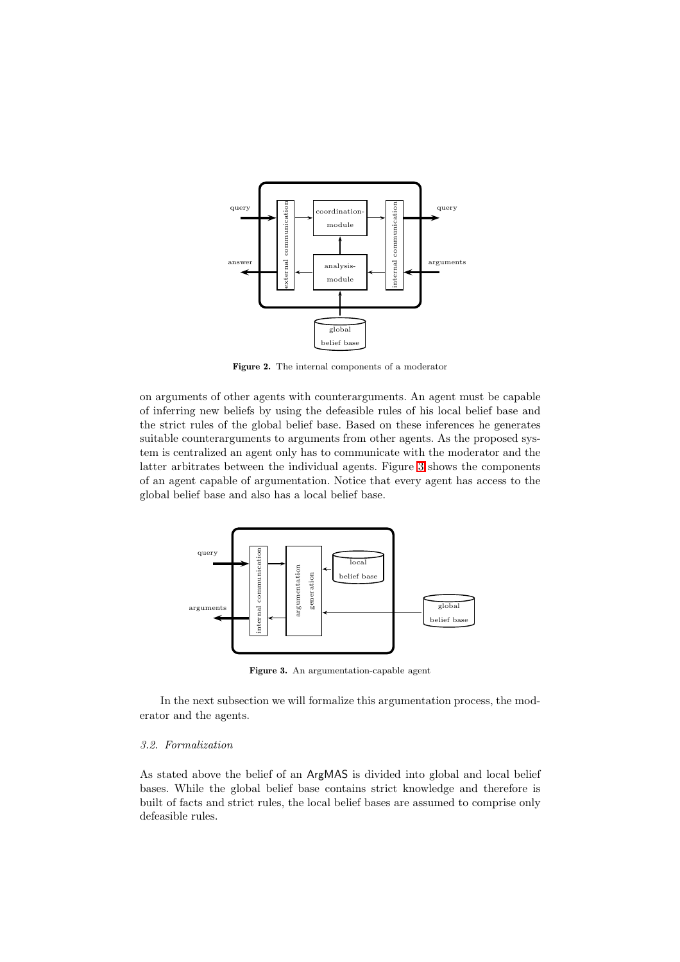

<span id="page-6-0"></span>Figure 2. The internal components of a moderator

on arguments of other agents with counterarguments. An agent must be capable of inferring new beliefs by using the defeasible rules of his local belief base and the strict rules of the global belief base. Based on these inferences he generates suitable counterarguments to arguments from other agents. As the proposed system is centralized an agent only has to communicate with the moderator and the latter arbitrates between the individual agents. Figure [3](#page-6-1) shows the components of an agent capable of argumentation. Notice that every agent has access to the global belief base and also has a local belief base.



<span id="page-6-1"></span>Figure 3. An argumentation-capable agent

In the next subsection we will formalize this argumentation process, the moderator and the agents.

## 3.2. Formalization

As stated above the belief of an ArgMAS is divided into global and local belief bases. While the global belief base contains strict knowledge and therefore is built of facts and strict rules, the local belief bases are assumed to comprise only defeasible rules.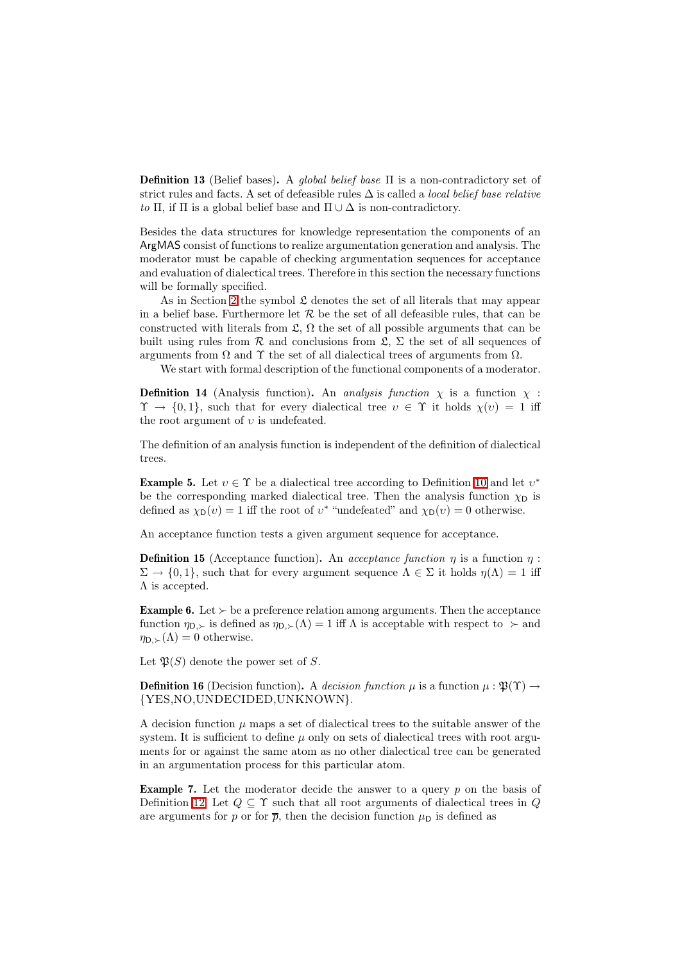Definition 13 (Belief bases). A global belief base Π is a non-contradictory set of strict rules and facts. A set of defeasible rules  $\Delta$  is called a *local belief base relative* to Π, if Π is a global belief base and  $\Pi \cup \Delta$  is non-contradictory.

Besides the data structures for knowledge representation the components of an ArgMAS consist of functions to realize argumentation generation and analysis. The moderator must be capable of checking argumentation sequences for acceptance and evaluation of dialectical trees. Therefore in this section the necessary functions will be formally specified.

As in Section [2](#page-1-1) the symbol  $\mathfrak L$  denotes the set of all literals that may appear in a belief base. Furthermore let  $R$  be the set of all defeasible rules, that can be constructed with literals from  $\mathfrak{L}, \Omega$  the set of all possible arguments that can be built using rules from  $\mathcal R$  and conclusions from  $\mathfrak L$ ,  $\Sigma$  the set of all sequences of arguments from  $\Omega$  and  $\Upsilon$  the set of all dialectical trees of arguments from  $\Omega$ .

We start with formal description of the functional components of a moderator.

**Definition 14** (Analysis function). An *analysis function*  $\chi$  is a function  $\chi$ :  $\Upsilon \to \{0, 1\}$ , such that for every dialectical tree  $v \in \Upsilon$  it holds  $\chi(v) = 1$  iff the root argument of  $v$  is undefeated.

The definition of an analysis function is independent of the definition of dialectical trees.

**Example 5.** Let  $v \in \Upsilon$  be a dialectical tree according to Definition [10](#page-4-0) and let  $v^*$ be the corresponding marked dialectical tree. Then the analysis function  $\chi_D$  is defined as  $\chi_D(v) = 1$  iff the root of  $v^*$  "undefeated" and  $\chi_D(v) = 0$  otherwise.

An acceptance function tests a given argument sequence for acceptance.

**Definition 15** (Acceptance function). An *acceptance function*  $n$  is a function  $n$ :  $\Sigma \to \{0,1\}$ , such that for every argument sequence  $\Lambda \in \Sigma$  it holds  $\eta(\Lambda) = 1$  iff  $\Lambda$  is accepted.

**Example 6.** Let  $\succ$  be a preference relation among arguments. Then the acceptance function  $\eta_{D, \succ}$  is defined as  $\eta_{D, \succ}(\Lambda) = 1$  iff  $\Lambda$  is acceptable with respect to  $\succ$  and  $\eta_{\mathsf{D}}\left(\Lambda\right)=0$  otherwise.

Let  $\mathfrak{P}(S)$  denote the power set of S.

**Definition 16** (Decision function). A decision function  $\mu$  is a function  $\mu : \mathfrak{P}(\Upsilon) \rightarrow$ {YES,NO,UNDECIDED,UNKNOWN}.

A decision function  $\mu$  maps a set of dialectical trees to the suitable answer of the system. It is sufficient to define  $\mu$  only on sets of dialectical trees with root arguments for or against the same atom as no other dialectical tree can be generated in an argumentation process for this particular atom.

**Example 7.** Let the moderator decide the answer to a query  $p$  on the basis of Definition [12.](#page-4-1) Let  $Q \subseteq \Upsilon$  such that all root arguments of dialectical trees in  $Q$ are arguments for p or for  $\bar{p}$ , then the decision function  $\mu_{\rm D}$  is defined as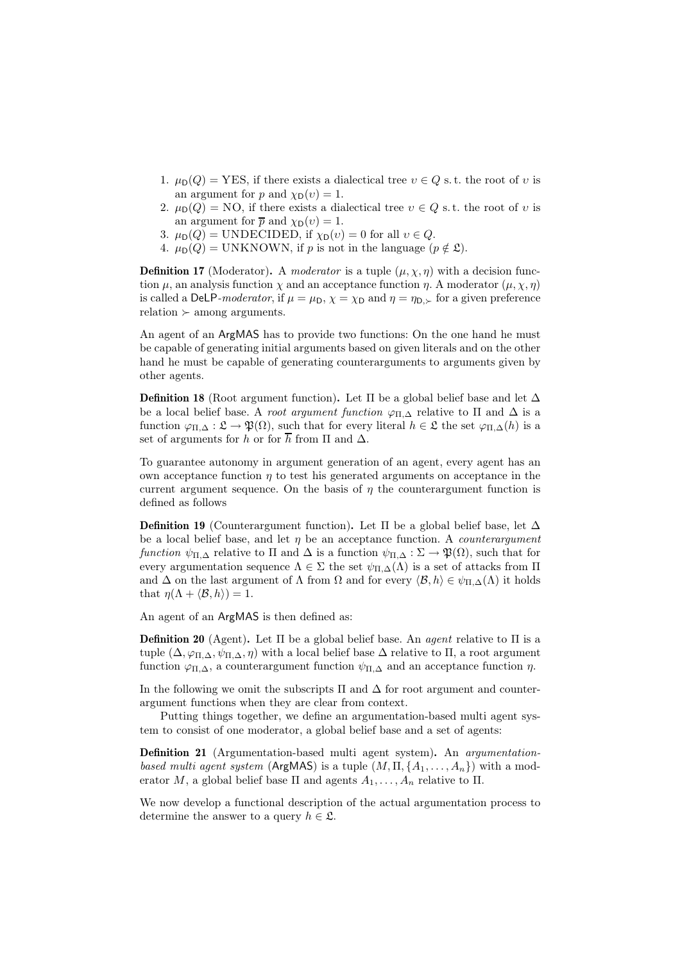- 1.  $\mu_D(Q) = \text{YES},$  if there exists a dialectical tree  $v \in Q$  s.t. the root of v is an argument for p and  $\chi_{\mathsf{D}}(v) = 1$ .
- 2.  $\mu_D(Q) = \text{NO}$ , if there exists a dialectical tree  $v \in Q$  s.t. the root of v is an argument for  $\bar{p}$  and  $\chi_{\text{D}}(v) = 1$ .
- 3.  $\mu_D(Q) = \text{UNDECIDED}$ , if  $\chi_D(v) = 0$  for all  $v \in Q$ .
- 4.  $\mu_D(Q) = \text{UNKNOWLEDN}$ , if p is not in the language  $(p \notin \mathcal{L})$ .

**Definition 17** (Moderator). A moderator is a tuple  $(\mu, \chi, \eta)$  with a decision function  $\mu$ , an analysis function  $\chi$  and an acceptance function  $\eta$ . A moderator  $(\mu, \chi, \eta)$ is called a DeLP-moderator, if  $\mu = \mu_D$ ,  $\chi = \chi_D$  and  $\eta = \eta_{D, \succ}$  for a given preference relation ≻ among arguments.

An agent of an ArgMAS has to provide two functions: On the one hand he must be capable of generating initial arguments based on given literals and on the other hand he must be capable of generating counterarguments to arguments given by other agents.

**Definition 18** (Root argument function). Let  $\Pi$  be a global belief base and let  $\Delta$ be a local belief base. A *root argument function*  $\varphi_{\Pi,\Delta}$  relative to  $\Pi$  and  $\Delta$  is a function  $\varphi_{\Pi,\Delta}: \mathfrak{L} \to \mathfrak{P}(\Omega)$ , such that for every literal  $h \in \mathfrak{L}$  the set  $\varphi_{\Pi,\Delta}(h)$  is a set of arguments for h or for  $\overline{h}$  from  $\Pi$  and  $\Delta$ .

To guarantee autonomy in argument generation of an agent, every agent has an own acceptance function  $\eta$  to test his generated arguments on acceptance in the current argument sequence. On the basis of  $\eta$  the counterargument function is defined as follows

Definition 19 (Counterargument function). Let  $\Pi$  be a global belief base, let  $\Delta$ be a local belief base, and let  $\eta$  be an acceptance function. A *counterargument* function  $\psi_{\Pi,\Delta}$  relative to  $\Pi$  and  $\Delta$  is a function  $\psi_{\Pi,\Delta} : \Sigma \to \mathfrak{P}(\Omega)$ , such that for every argumentation sequence  $\Lambda \in \Sigma$  the set  $\psi_{\Pi,\Delta}(\Lambda)$  is a set of attacks from  $\Pi$ and  $\Delta$  on the last argument of  $\Lambda$  from  $\Omega$  and for every  $\langle \mathcal{B}, h \rangle \in \psi_{\Pi, \Delta}(\Lambda)$  it holds that  $\eta(\Lambda + \langle \mathcal{B}, h \rangle) = 1$ .

An agent of an ArgMAS is then defined as:

**Definition 20** (Agent). Let  $\Pi$  be a global belief base. An *agent* relative to  $\Pi$  is a tuple  $(\Delta, \varphi_{\Pi,\Delta}, \psi_{\Pi,\Delta}, \eta)$  with a local belief base  $\Delta$  relative to  $\Pi$ , a root argument function  $\varphi_{\Pi,\Delta}$ , a counterargument function  $\psi_{\Pi,\Delta}$  and an acceptance function  $\eta$ .

In the following we omit the subscripts  $\Pi$  and  $\Delta$  for root argument and counterargument functions when they are clear from context.

<span id="page-8-0"></span>Putting things together, we define an argumentation-based multi agent system to consist of one moderator, a global belief base and a set of agents:

Definition 21 (Argumentation-based multi agent system). An argumentationbased multi agent system (ArgMAS) is a tuple  $(M, \Pi, \{A_1, \ldots, A_n\})$  with a moderator M, a global belief base  $\Pi$  and agents  $A_1, \ldots, A_n$  relative to  $\Pi$ .

We now develop a functional description of the actual argumentation process to determine the answer to a query  $h \in \mathfrak{L}$ .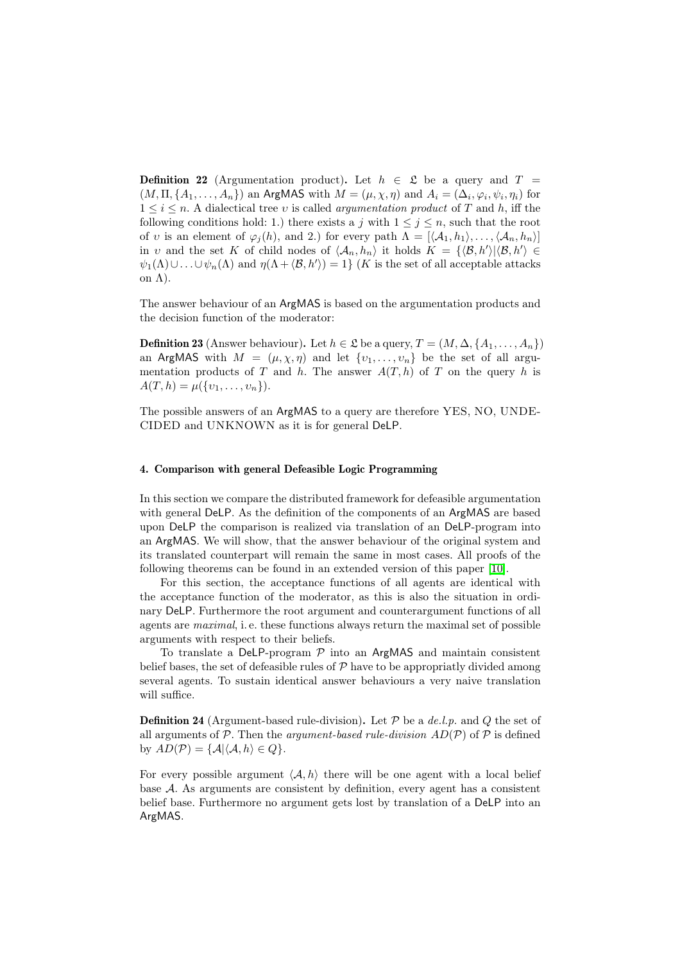**Definition 22** (Argumentation product). Let  $h \in \mathcal{L}$  be a query and  $T =$  $(M, \Pi, \{A_1, \ldots, A_n\})$  an ArgMAS with  $M = (\mu, \chi, \eta)$  and  $A_i = (\Delta_i, \varphi_i, \psi_i, \eta_i)$  for  $1 \leq i \leq n$ . A dialectical tree v is called *argumentation product* of T and h, iff the following conditions hold: 1.) there exists a j with  $1 \leq j \leq n$ , such that the root of v is an element of  $\varphi_i(h)$ , and 2.) for every path  $\Lambda = [\langle A_1, h_1 \rangle, \ldots, \langle A_n, h_n \rangle]$ in v and the set K of child nodes of  $\langle A_n, h_n \rangle$  it holds  $K = {\langle \langle \mathcal{B}, h' \rangle | \langle \mathcal{B}, h' \rangle \in \mathbb{R}^n}$  $\psi_1(\Lambda) \cup \ldots \cup \psi_n(\Lambda)$  and  $\eta(\Lambda + \langle \mathcal{B}, h' \rangle) = 1$   $(K$  is the set of all acceptable attacks on  $Λ$ ).

The answer behaviour of an ArgMAS is based on the argumentation products and the decision function of the moderator:

**Definition 23** (Answer behaviour). Let  $h \in \mathcal{L}$  be a query,  $T = (M, \Delta, \{A_1, \ldots, A_n\})$ an ArgMAS with  $M = (\mu, \chi, \eta)$  and let  $\{v_1, \ldots, v_n\}$  be the set of all argumentation products of T and h. The answer  $A(T, h)$  of T on the query h is  $A(T, h) = \mu({v_1, \ldots, v_n}).$ 

The possible answers of an ArgMAS to a query are therefore YES, NO, UNDE-CIDED and UNKNOWN as it is for general DeLP.

#### <span id="page-9-0"></span>4. Comparison with general Defeasible Logic Programming

In this section we compare the distributed framework for defeasible argumentation with general DeLP. As the definition of the components of an ArgMAS are based upon DeLP the comparison is realized via translation of an DeLP-program into an ArgMAS. We will show, that the answer behaviour of the original system and its translated counterpart will remain the same in most cases. All proofs of the following theorems can be found in an extended version of this paper [\[10\]](#page-11-6).

For this section, the acceptance functions of all agents are identical with the acceptance function of the moderator, as this is also the situation in ordinary DeLP. Furthermore the root argument and counterargument functions of all agents are maximal, i. e. these functions always return the maximal set of possible arguments with respect to their beliefs.

To translate a DeLP-program  $P$  into an ArgMAS and maintain consistent belief bases, the set of defeasible rules of  $P$  have to be appropriatly divided among several agents. To sustain identical answer behaviours a very naive translation will suffice.

**Definition 24** (Argument-based rule-division). Let  $P$  be a de.l.p. and Q the set of all arguments of P. Then the *argument-based rule-division AD(P)* of P is defined by  $AD(\mathcal{P}) = \{ \mathcal{A} | \langle \mathcal{A}, h \rangle \in Q \}.$ 

For every possible argument  $\langle A, h \rangle$  there will be one agent with a local belief base A. As arguments are consistent by definition, every agent has a consistent belief base. Furthermore no argument gets lost by translation of a DeLP into an ArgMAS.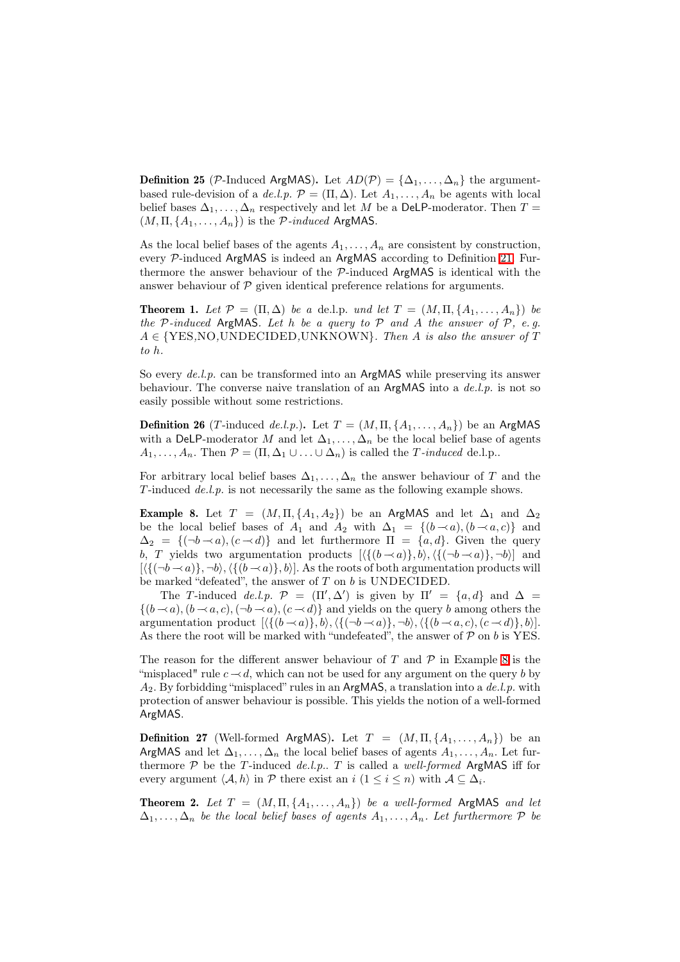**Definition 25** (P-Induced ArgMAS). Let  $AD(\mathcal{P}) = {\Delta_1, \ldots, \Delta_n}$  the argumentbased rule-devision of a de.l.p.  $\mathcal{P} = (\Pi, \Delta)$ . Let  $A_1, \ldots, A_n$  be agents with local belief bases  $\Delta_1, \ldots, \Delta_n$  respectively and let M be a DeLP-moderator. Then  $T =$  $(M, \Pi, \{A_1, \ldots, A_n\})$  is the P-induced ArgMAS.

As the local belief bases of the agents  $A_1, \ldots, A_n$  are consistent by construction, every P-induced ArgMAS is indeed an ArgMAS according to Definition [21.](#page-8-0) Furthermore the answer behaviour of the  $P$ -induced ArgMAS is identical with the answer behaviour of  $P$  given identical preference relations for arguments.

**Theorem 1.** Let  $\mathcal{P} = (\Pi, \Delta)$  be a de.l.p. und let  $T = (M, \Pi, \{A_1, \ldots, A_n\})$  be the P-induced ArgMAS. Let h be a query to P and A the answer of P, e.g.  $A \in \{YES, NO, UNDECIDED, UNKNOWN\}$ . Then A is also the answer of T to h.

So every de.l.p. can be transformed into an ArgMAS while preserving its answer behaviour. The converse naive translation of an ArgMAS into a  $de.l.p.$  is not so easily possible without some restrictions.

**Definition 26** (T-induced de.l.p.). Let  $T = (M, \Pi, \{A_1, \ldots, A_n\})$  be an ArgMAS with a DeLP-moderator M and let  $\Delta_1, \ldots, \Delta_n$  be the local belief base of agents  $A_1, \ldots, A_n$ . Then  $\mathcal{P} = (\Pi, \Delta_1 \cup \ldots \cup \Delta_n)$  is called the *T*-induced de.l.p..

<span id="page-10-0"></span>For arbitrary local belief bases  $\Delta_1, \ldots, \Delta_n$  the answer behaviour of T and the T-induced  $de.l.p.$  is not necessarily the same as the following example shows.

**Example 8.** Let  $T = (M, \Pi, \{A_1, A_2\})$  be an ArgMAS and let  $\Delta_1$  and  $\Delta_2$ be the local belief bases of  $A_1$  and  $A_2$  with  $\Delta_1 = \{(b \prec a), (b \prec a, c)\}\$ and  $\Delta_2 = \{(\neg b \rightarrow a), (c \rightarrow d)\}\$ and let furthermore  $\Pi = \{a, d\}.$  Given the query b, T yields two argumentation products  $[\langle \{(b \prec a)\}, b \rangle, \langle \{(\neg b \prec a)\}, \neg b \rangle]$  and  $[\langle {\{\nabla \phi \prec a\}} \rangle, \neg b \rangle, \langle {\{\nabla \phi \prec a\}} \rangle, b \rangle].$  As the roots of both argumentation products will be marked "defeated", the answer of  $T$  on  $b$  is UNDECIDED.

The T-induced de.l.p.  $\mathcal{P} = (\Pi', \Delta')$  is given by  $\Pi' = \{a, d\}$  and  $\Delta =$  $\{(b \rightarrow a), (b \rightarrow a, c), (\neg b \rightarrow a), (c \rightarrow d)\}\$ and yields on the query b among others the argumentation product  $[\langle \{(b \prec a)\}, b \rangle, \langle \{(\neg b \prec a)\}, \neg b \rangle, \langle \{(b \prec a, c), (c \prec d)\}, b \rangle].$ As there the root will be marked with "undefeated", the answer of  $P$  on b is YES.

The reason for the different answer behaviour of T and  $\mathcal P$  in Example [8](#page-10-0) is the "misplaced" rule  $c \sim d$ , which can not be used for any argument on the query b by  $A_2$ . By forbidding "misplaced" rules in an ArgMAS, a translation into a  $de.l.p.$  with protection of answer behaviour is possible. This yields the notion of a well-formed ArgMAS.

**Definition 27** (Well-formed ArgMAS). Let  $T = (M, \Pi, \{A_1, \ldots, A_n\})$  be an ArgMAS and let  $\Delta_1, \ldots, \Delta_n$  the local belief bases of agents  $A_1, \ldots, A_n$ . Let furthermore  $P$  be the T-induced de.l.p.. T is called a well-formed ArgMAS iff for every argument  $\langle A, h \rangle$  in P there exist an  $i$   $(1 \leq i \leq n)$  with  $A \subseteq \Delta_i$ .

**Theorem 2.** Let  $T = (M, \Pi, \{A_1, \ldots, A_n\})$  be a well-formed ArgMAS and let  $\Delta_1, \ldots, \Delta_n$  be the local belief bases of agents  $A_1, \ldots, A_n$ . Let furthermore  $\mathcal P$  be